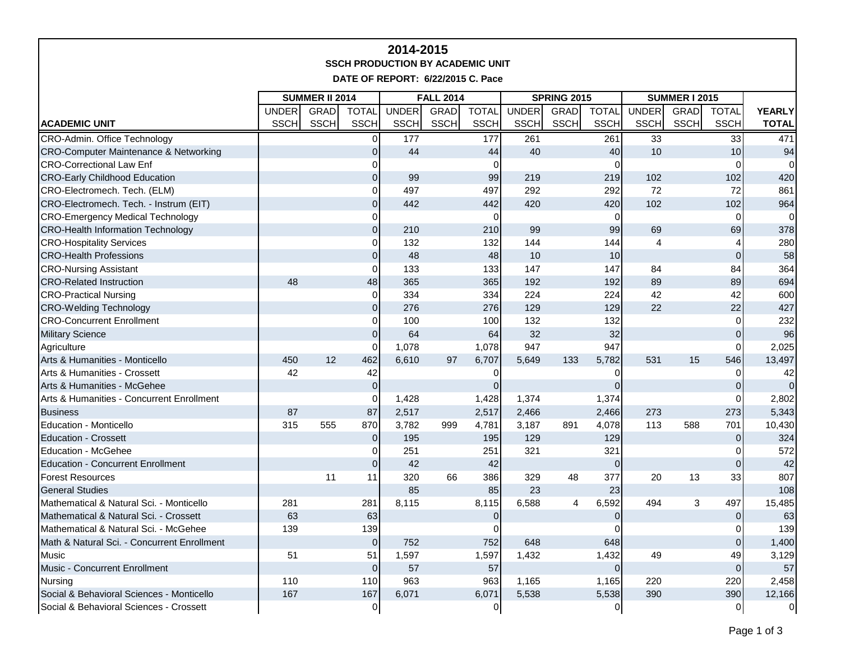## **2014-2015 SSCH PRODUCTION BY ACADEMIC UNIT**

**DATE OF REPORT: 6/22/2015 C. Pace**

|                                                  | <b>SUMMER II 2014</b> |             |                | <b>FALL 2014</b> |             |                |              | <b>SPRING 2015</b> |                | <b>SUMMER I 2015</b> |              |              |                |
|--------------------------------------------------|-----------------------|-------------|----------------|------------------|-------------|----------------|--------------|--------------------|----------------|----------------------|--------------|--------------|----------------|
|                                                  | <b>UNDER</b>          | <b>GRAD</b> | <b>TOTAL</b>   | <b>UNDER</b>     | <b>GRAD</b> | <b>TOTAL</b>   | <b>UNDER</b> | <b>GRAD</b>        | <b>TOTAL</b>   | <b>UNDER</b>         | <b>GRAD</b>  | <b>TOTAL</b> | <b>YEARLY</b>  |
| <b>ACADEMIC UNIT</b>                             | <b>SSCH</b>           | <b>SSCH</b> | <b>SSCH</b>    | <b>SSCH</b>      | <b>SSCH</b> | <b>SSCH</b>    | <b>SSCH</b>  | <b>SSCH</b>        | <b>SSCH</b>    | <b>SSCH</b>          | <b>SSCH</b>  | <b>SSCH</b>  | <b>TOTAL</b>   |
| CRO-Admin. Office Technology                     |                       |             | $\overline{0}$ | 177              |             | 177            | 261          |                    | 261            | 33                   |              | 33           | 471            |
| <b>CRO-Computer Maintenance &amp; Networking</b> |                       |             | $\Omega$       | 44               |             | 44             | 40           |                    | 40             | 10                   |              | 10           | 94             |
| <b>CRO-Correctional Law Enf</b>                  |                       |             | 0              |                  |             | 0              |              |                    | 0              |                      |              | $\Omega$     | $\Omega$       |
| <b>CRO-Early Childhood Education</b>             |                       |             | $\Omega$       | 99               |             | 99             | 219          |                    | 219            | 102                  |              | 102          | 420            |
| CRO-Electromech. Tech. (ELM)                     |                       |             | $\Omega$       | 497              |             | 497            | 292          |                    | 292            | 72                   |              | 72           | 861            |
| CRO-Electromech. Tech. - Instrum (EIT)           |                       |             | $\Omega$       | 442              |             | 442            | 420          |                    | 420            | 102                  |              | 102          | 964            |
| <b>CRO-Emergency Medical Technology</b>          |                       |             | 0              |                  |             | $\pmb{0}$      |              |                    | 0              |                      |              | 0            | $\Omega$       |
| <b>CRO-Health Information Technology</b>         |                       |             | $\Omega$       | 210              |             | 210            | 99           |                    | 99             | 69                   |              | 69           | 378            |
| <b>CRO-Hospitality Services</b>                  |                       |             | 0              | 132              |             | 132            | 144          |                    | 144            | $\overline{4}$       |              |              | 280            |
| <b>CRO-Health Professions</b>                    |                       |             | 0              | 48               |             | 48             | 10           |                    | 10             |                      |              | $\Omega$     | 58             |
| <b>CRO-Nursing Assistant</b>                     |                       |             | $\Omega$       | 133              |             | 133            | 147          |                    | 147            | 84                   |              | 84           | 364            |
| <b>CRO-Related Instruction</b>                   | 48                    |             | 48             | 365              |             | 365            | 192          |                    | 192            | 89                   |              | 89           | 694            |
| <b>CRO-Practical Nursing</b>                     |                       |             | $\overline{0}$ | 334              |             | 334            | 224          |                    | 224            | 42                   |              | 42           | 600            |
| <b>CRO-Welding Technology</b>                    |                       |             | $\overline{0}$ | 276              |             | 276            | 129          |                    | 129            | 22                   |              | 22           | 427            |
| <b>CRO-Concurrent Enrollment</b>                 |                       |             | U              | 100              |             | 100            | 132          |                    | 132            |                      |              | $\Omega$     | 232            |
| <b>Military Science</b>                          |                       |             | $\Omega$       | 64               |             | 64             | 32           |                    | 32             |                      |              | $\Omega$     | 96             |
| Agriculture                                      |                       |             | $\Omega$       | 1,078            |             | 1,078          | 947          |                    | 947            |                      |              | $\Omega$     | 2,025          |
| Arts & Humanities - Monticello                   | 450                   | 12          | 462            | 6,610            | 97          | 6,707          | 5,649        | 133                | 5,782          | 531                  | 15           | 546          | 13,497         |
| Arts & Humanities - Crossett                     | 42                    |             | 42             |                  |             | 0              |              |                    | 0              |                      |              | $\Omega$     | 42             |
| Arts & Humanities - McGehee                      |                       |             | $\mathbf 0$    |                  |             | 0              |              |                    | $\Omega$       |                      |              | $\Omega$     | $\Omega$       |
| Arts & Humanities - Concurrent Enrollment        |                       |             | $\Omega$       | 1,428            |             | 1,428          | 1,374        |                    | 1,374          |                      |              | $\Omega$     | 2,802          |
| <b>Business</b>                                  | 87                    |             | 87             | 2,517            |             | 2,517          | 2,466        |                    | 2,466          | 273                  |              | 273          | 5,343          |
| Education - Monticello                           | 315                   | 555         | 870            | 3.782            | 999         | 4,781          | 3,187        | 891                | 4,078          | 113                  | 588          | 701          | 10,430         |
| <b>Education - Crossett</b>                      |                       |             | $\overline{0}$ | 195              |             | 195            | 129          |                    | 129            |                      |              | $\Omega$     | 324            |
| <b>Education - McGehee</b>                       |                       |             | $\Omega$       | 251              |             | 251            | 321          |                    | 321            |                      |              | 0            | 572            |
| <b>Education - Concurrent Enrollment</b>         |                       |             | $\Omega$       | 42               |             | 42             |              |                    | $\Omega$       |                      |              | $\Omega$     | 42             |
| <b>Forest Resources</b>                          |                       | 11          | 11             | 320              | 66          | 386            | 329          | 48                 | 377            | 20                   | 13           | 33           | 807            |
| <b>General Studies</b>                           |                       |             |                | 85               |             | 85             | 23           |                    | 23             |                      |              |              | 108            |
| Mathematical & Natural Sci. - Monticello         | 281                   |             | 281            | 8,115            |             | 8,115          | 6,588        | $\overline{4}$     | 6,592          | 494                  | $\mathbf{3}$ | 497          | 15,485         |
| Mathematical & Natural Sci. - Crossett           | 63                    |             | 63             |                  |             | $\mathbf{0}$   |              |                    | $\Omega$       |                      |              | $\Omega$     | 63             |
| Mathematical & Natural Sci. - McGehee            | 139                   |             | 139            |                  |             | $\Omega$       |              |                    |                |                      |              | $\Omega$     | 139            |
| Math & Natural Sci. - Concurrent Enrollment      |                       |             | $\Omega$       | 752              |             | 752            | 648          |                    | 648            |                      |              | $\Omega$     | 1,400          |
| Music                                            | 51                    |             | 51             | 1,597            |             | 1,597          | 1,432        |                    | 1,432          | 49                   |              | 49           | 3,129          |
| Music - Concurrent Enrollment                    |                       |             | $\overline{0}$ | 57               |             | 57             |              |                    | $\overline{0}$ |                      |              | $\mathbf{0}$ | 57             |
| Nursing                                          | 110                   |             | 110            | 963              |             | 963            | 1,165        |                    | 1,165          | 220                  |              | 220          | 2,458          |
| Social & Behavioral Sciences - Monticello        | 167                   |             | 167            | 6,071            |             | 6,071          | 5,538        |                    | 5,538          | 390                  |              | 390          | 12,166         |
| Social & Behavioral Sciences - Crossett          |                       |             | $\overline{O}$ |                  |             | $\overline{0}$ |              |                    | 이              |                      |              | $\Omega$     | $\overline{0}$ |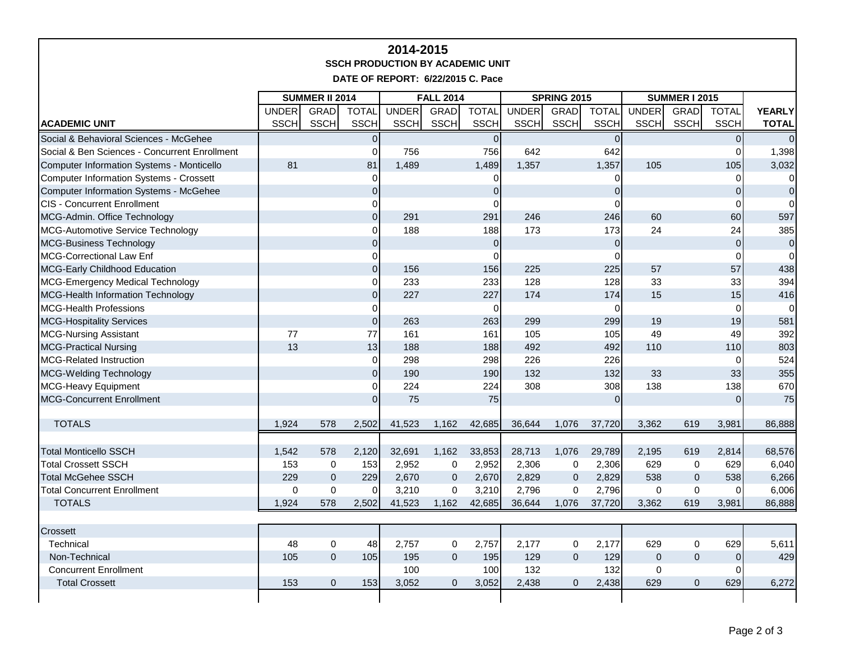## **2014-2015 SSCH PRODUCTION BY ACADEMIC UNIT**

**DATE OF REPORT: 6/22/2015 C. Pace**

|                                                | <b>SUMMER II 2014</b> |              |              | <b>FALL 2014</b> |                |                | <b>SPRING 2015</b> |                |                | <b>SUMMER I 2015</b> |                |                |                |
|------------------------------------------------|-----------------------|--------------|--------------|------------------|----------------|----------------|--------------------|----------------|----------------|----------------------|----------------|----------------|----------------|
|                                                | <b>UNDER</b>          | GRAD         | <b>TOTAL</b> | <b>UNDER</b>     | <b>GRAD</b>    | <b>TOTAL</b>   | <b>UNDER</b>       | <b>GRAD</b>    | <b>TOTAL</b>   | <b>UNDER</b>         | <b>GRAD</b>    | <b>TOTAL</b>   | <b>YEARLY</b>  |
| <b>ACADEMIC UNIT</b>                           | <b>SSCH</b>           | <b>SSCH</b>  | <b>SSCH</b>  | <b>SSCH</b>      | <b>SSCH</b>    | <b>SSCH</b>    | <b>SSCH</b>        | <b>SSCH</b>    | <b>SSCH</b>    | <b>SSCH</b>          | <b>SSCH</b>    | <b>SSCH</b>    | <b>TOTAL</b>   |
| Social & Behavioral Sciences - McGehee         |                       |              | $\Omega$     |                  |                | $\overline{0}$ |                    |                | $\overline{0}$ |                      |                | $\overline{0}$ | $\Omega$       |
| Social & Ben Sciences - Concurrent Enrollment  |                       |              | 0            | 756              |                | 756            | 642                |                | 642            |                      |                | $\Omega$       | 1,398          |
| Computer Information Systems - Monticello      | 81                    |              | 81           | 1,489            |                | 1,489          | 1,357              |                | 1,357          | 105                  |                | 105            | 3,032          |
| <b>Computer Information Systems - Crossett</b> |                       |              | $\Omega$     |                  |                | $\Omega$       |                    |                | 0              |                      |                | 0              | $\overline{0}$ |
| <b>Computer Information Systems - McGehee</b>  |                       |              | $\Omega$     |                  |                | $\Omega$       |                    |                | $\mathbf 0$    |                      |                | 0              | $\overline{0}$ |
| <b>CIS - Concurrent Enrollment</b>             |                       |              |              |                  |                | $\Omega$       |                    |                | $\Omega$       |                      |                | $\Omega$       | $\overline{0}$ |
| MCG-Admin. Office Technology                   |                       |              | $\Omega$     | 291              |                | 291            | 246                |                | 246            | 60                   |                | 60             | 597            |
| MCG-Automotive Service Technology              |                       |              |              | 188              |                | 188            | 173                |                | 173            | 24                   |                | 24             | 385            |
| <b>MCG-Business Technology</b>                 |                       |              | $\Omega$     |                  |                | $\overline{0}$ |                    |                | $\Omega$       |                      |                | $\Omega$       | $\overline{0}$ |
| <b>MCG-Correctional Law Enf</b>                |                       |              | 0            |                  |                | $\Omega$       |                    |                | $\Omega$       |                      |                | $\Omega$       | $\Omega$       |
| MCG-Early Childhood Education                  |                       |              | $\Omega$     | 156              |                | 156            | 225                |                | 225            | 57                   |                | 57             | 438            |
| MCG-Emergency Medical Technology               |                       |              | 0            | 233              |                | 233            | 128                |                | 128            | 33                   |                | 33             | 394            |
| MCG-Health Information Technology              |                       |              | $\Omega$     | 227              |                | 227            | 174                |                | 174            | 15                   |                | 15             | 416            |
| <b>MCG-Health Professions</b>                  |                       |              | 0            |                  |                | $\mathbf 0$    |                    |                | $\mathbf 0$    |                      |                | $\Omega$       | $\overline{0}$ |
| <b>MCG-Hospitality Services</b>                |                       |              | $\Omega$     | 263              |                | 263            | 299                |                | 299            | 19                   |                | 19             | 581            |
| <b>MCG-Nursing Assistant</b>                   | 77                    |              | 77           | 161              |                | 161            | 105                |                | 105            | 49                   |                | 49             | 392            |
| <b>MCG-Practical Nursing</b>                   | 13                    |              | 13           | 188              |                | 188            | 492                |                | 492            | 110                  |                | 110            | 803            |
| <b>MCG-Related Instruction</b>                 |                       |              | $\Omega$     | 298              |                | 298            | 226                |                | 226            |                      |                | $\Omega$       | 524            |
| <b>MCG-Welding Technology</b>                  |                       |              | $\Omega$     | 190              |                | 190            | 132                |                | 132            | 33                   |                | 33             | 355            |
| MCG-Heavy Equipment                            |                       |              | 0            | 224              |                | 224            | 308                |                | 308            | 138                  |                | 138            | 670            |
| <b>MCG-Concurrent Enrollment</b>               |                       |              | <sup>0</sup> | 75               |                | 75             |                    |                | $\overline{0}$ |                      |                | $\overline{0}$ | 75             |
|                                                |                       |              |              |                  |                |                |                    |                |                |                      |                |                |                |
| <b>TOTALS</b>                                  | 1,924                 | 578          | 2,502        | 41,523           | 1,162          | 42,685         | 36,644             | 1,076          | 37,720         | 3,362                | 619            | 3,981          | 86,888         |
|                                                |                       |              |              |                  |                |                |                    |                |                |                      |                |                |                |
| <b>Total Monticello SSCH</b>                   | 1,542                 | 578          | 2,120        | 32,691           | 1,162          | 33,853         | 28,713             | 1,076          | 29,789         | 2,195                | 619            | 2,814          | 68,576         |
| <b>Total Crossett SSCH</b>                     | 153                   | 0            | 153          | 2,952            | 0              | 2,952          | 2,306              | $\pmb{0}$      | 2,306          | 629                  | $\mathbf 0$    | 629            | 6,040          |
| <b>Total McGehee SSCH</b>                      | 229                   | $\mathsf 0$  | 229          | 2,670            | $\mathbf 0$    | 2,670          | 2,829              | $\mathbf{0}$   | 2,829          | 538                  | $\mathbf{0}$   | 538            | 6,266          |
| <b>Total Concurrent Enrollment</b>             | $\mathbf 0$           | $\mathbf 0$  | $\Omega$     | 3,210            | 0              | 3,210          | 2,796              | 0              | 2,796          | $\mathbf 0$          | $\mathbf 0$    | 0              | 6,006          |
| <b>TOTALS</b>                                  | 1,924                 | 578          | 2,502        | 41,523           | 1,162          | 42,685         | 36,644             | 1,076          | 37,720         | 3,362                | 619            | 3,981          | 86,888         |
|                                                |                       |              |              |                  |                |                |                    |                |                |                      |                |                |                |
| Crossett                                       |                       |              |              |                  |                |                |                    |                |                |                      |                |                |                |
| Technical                                      | 48                    | $\pmb{0}$    | 48           | 2,757            | 0              | 2,757          | 2,177              | 0              | 2,177          | 629                  | $\mathbf 0$    | 629            | 5,611          |
| Non-Technical                                  | 105                   | $\mathbf{0}$ | 105          | 195              | $\overline{0}$ | 195            | 129                | $\Omega$       | 129            | $\Omega$             | $\Omega$       | $\mathbf{0}$   | 429            |
| <b>Concurrent Enrollment</b>                   |                       |              |              | 100              |                | 100            | 132                |                | 132            | $\pmb{0}$            |                | 0              |                |
| <b>Total Crossett</b>                          | 153                   | $\mathbf 0$  | 153          | 3,052            | $\mathbf{0}$   | 3,052          | 2,438              | $\overline{0}$ | 2,438          | 629                  | $\overline{0}$ | 629            | 6,272          |
|                                                |                       |              |              |                  |                |                |                    |                |                |                      |                |                |                |